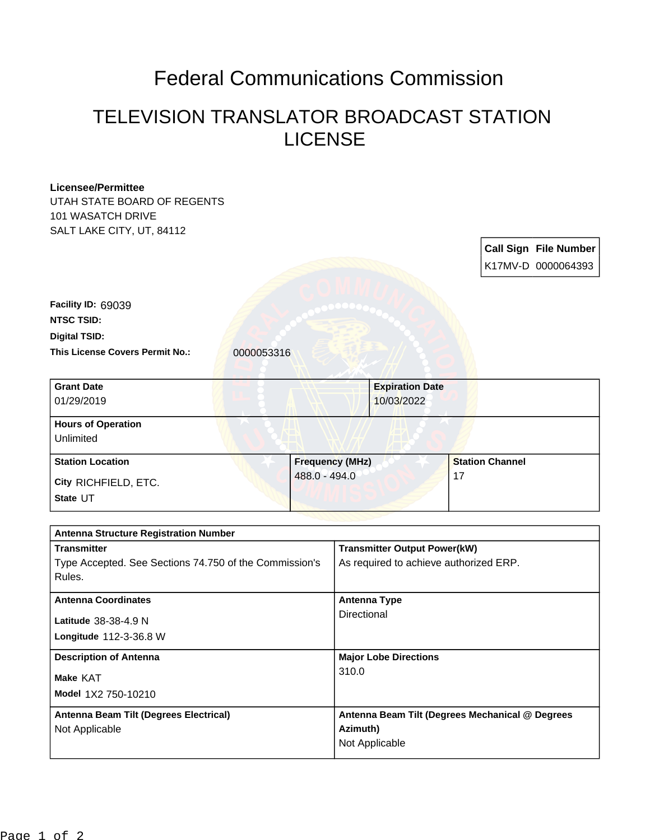## Federal Communications Commission

## TELEVISION TRANSLATOR BROADCAST STATION LICENSE

| <b>Licensee/Permittee</b>                              |               |                        |                                        |                                                 |  |  |                              |
|--------------------------------------------------------|---------------|------------------------|----------------------------------------|-------------------------------------------------|--|--|------------------------------|
| UTAH STATE BOARD OF REGENTS                            |               |                        |                                        |                                                 |  |  |                              |
| 101 WASATCH DRIVE                                      |               |                        |                                        |                                                 |  |  |                              |
| SALT LAKE CITY, UT, 84112                              |               |                        |                                        |                                                 |  |  |                              |
|                                                        |               |                        |                                        |                                                 |  |  | <b>Call Sign File Number</b> |
|                                                        |               |                        |                                        |                                                 |  |  |                              |
|                                                        |               |                        |                                        |                                                 |  |  | K17MV-D 0000064393           |
|                                                        |               |                        |                                        |                                                 |  |  |                              |
| Facility ID: 69039                                     |               |                        |                                        |                                                 |  |  |                              |
| <b>NTSC TSID:</b>                                      |               |                        |                                        |                                                 |  |  |                              |
| <b>Digital TSID:</b>                                   |               |                        |                                        |                                                 |  |  |                              |
| This License Covers Permit No.:                        | 0000053316    |                        |                                        |                                                 |  |  |                              |
|                                                        |               |                        |                                        |                                                 |  |  |                              |
| <b>Grant Date</b>                                      |               |                        |                                        | <b>Expiration Date</b>                          |  |  |                              |
| 01/29/2019                                             |               |                        |                                        | 10/03/2022                                      |  |  |                              |
|                                                        |               |                        |                                        |                                                 |  |  |                              |
| <b>Hours of Operation</b>                              |               |                        |                                        |                                                 |  |  |                              |
| Unlimited                                              |               |                        |                                        |                                                 |  |  |                              |
| <b>Station Location</b>                                |               | <b>Frequency (MHz)</b> |                                        | <b>Station Channel</b>                          |  |  |                              |
| City RICHFIELD, ETC.                                   | 488.0 - 494.0 |                        | 17                                     |                                                 |  |  |                              |
| State UT                                               |               |                        |                                        |                                                 |  |  |                              |
|                                                        |               |                        |                                        |                                                 |  |  |                              |
| <b>Antenna Structure Registration Number</b>           |               |                        |                                        |                                                 |  |  |                              |
| <b>Transmitter</b>                                     |               |                        |                                        | <b>Transmitter Output Power(kW)</b>             |  |  |                              |
| Type Accepted. See Sections 74.750 of the Commission's |               |                        | As required to achieve authorized ERP. |                                                 |  |  |                              |
| Rules.                                                 |               |                        |                                        |                                                 |  |  |                              |
|                                                        |               |                        |                                        |                                                 |  |  |                              |
| <b>Antenna Coordinates</b>                             |               |                        | <b>Antenna Type</b>                    |                                                 |  |  |                              |
| Latitude 38-38-4.9 N                                   |               |                        | Directional                            |                                                 |  |  |                              |
| Longitude 112-3-36.8 W                                 |               |                        |                                        |                                                 |  |  |                              |
|                                                        |               |                        |                                        |                                                 |  |  |                              |
| <b>Description of Antenna</b>                          |               |                        | <b>Major Lobe Directions</b><br>310.0  |                                                 |  |  |                              |
| Make KAT                                               |               |                        |                                        |                                                 |  |  |                              |
| Model 1X2 750-10210                                    |               |                        |                                        |                                                 |  |  |                              |
| Antenna Beam Tilt (Degrees Electrical)                 |               |                        |                                        | Antenna Beam Tilt (Degrees Mechanical @ Degrees |  |  |                              |
| Not Applicable                                         |               |                        | Azimuth)                               |                                                 |  |  |                              |
|                                                        |               |                        |                                        | Not Applicable                                  |  |  |                              |
|                                                        |               |                        |                                        |                                                 |  |  |                              |